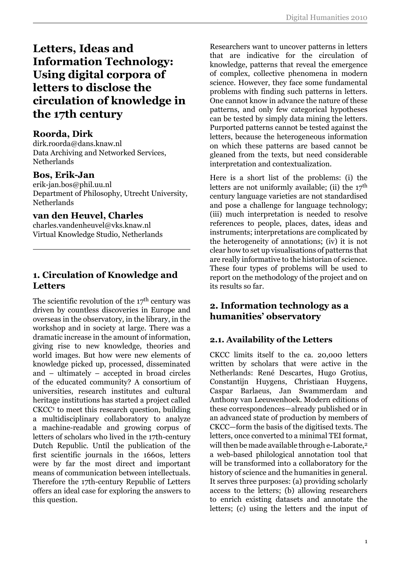# **Letters, Ideas and Information Technology: Using digital corpora of letters to disclose the circulation of knowledge in the 17th century**

### **Roorda, Dirk**

dirk.roorda@dans.knaw.nl Data Archiving and Networked Services, Netherlands

### **Bos, Erik-Jan**

erik-jan.bos@phil.uu.nl Department of Philosophy, Utrecht University, Netherlands

### **van den Heuvel, Charles**

charles.vandenheuvel@vks.knaw.nl Virtual Knowledge Studio, Netherlands

# **1. Circulation of Knowledge and Letters**

The scientific revolution of the  $17<sup>th</sup>$  century was driven by countless discoveries in Europe and overseas in the observatory, in the library, in the workshop and in society at large. There was a dramatic increase in the amount of information, giving rise to new knowledge, theories and world images. But how were new elements of knowledge picked up, processed, disseminated and – ultimately – accepted in broad circles of the educated community? A consortium of universities, research institutes and cultural heritage institutions has started a project called CKCC<sup>1</sup> to meet this research question, building a multidisciplinary collaboratory to analyze a machine-readable and growing corpus of letters of scholars who lived in the 17th-century Dutch Republic. Until the publication of the first scientific journals in the 1660s, letters were by far the most direct and important means of communication between intellectuals. Therefore the 17th-century Republic of Letters offers an ideal case for exploring the answers to this question.

Researchers want to uncover patterns in letters that are indicative for the circulation of knowledge, patterns that reveal the emergence of complex, collective phenomena in modern science. However, they face some fundamental problems with finding such patterns in letters. One cannot know in advance the nature of these patterns, and only few categorical hypotheses can be tested by simply data mining the letters. Purported patterns cannot be tested against the letters, because the heterogeneous information on which these patterns are based cannot be gleaned from the texts, but need considerable interpretation and contextualization.

Here is a short list of the problems: (i) the letters are not uniformly available; (ii) the 17<sup>th</sup> century language varieties are not standardised and pose a challenge for language technology; (iii) much interpretation is needed to resolve references to people, places, dates, ideas and instruments; interpretations are complicated by the heterogeneity of annotations; (iv) it is not clear how to set up visualisations of patterns that are really informative to the historian of science. These four types of problems will be used to report on the methodology of the project and on its results so far.

# **2. Information technology as a humanities' observatory**

# **2.1. Availability of the Letters**

CKCC limits itself to the ca. 20,000 letters written by scholars that were active in the Netherlands: René Descartes, Hugo Grotius, Constantijn Huygens, Christiaan Huygens, Caspar Barlaeus, Jan Swammerdam and Anthony van Leeuwenhoek. Modern editions of these correspondences—already published or in an advanced state of production by members of CKCC—form the basis of the digitised texts. The letters, once converted to a minimal TEI format, will then be made available through e-Laborate,<sup>2</sup> a web-based philological annotation tool that will be transformed into a collaboratory for the history of science and the humanities in general. It serves three purposes: (a) providing scholarly access to the letters; (b) allowing researchers to enrich existing datasets and annotate the letters; (c) using the letters and the input of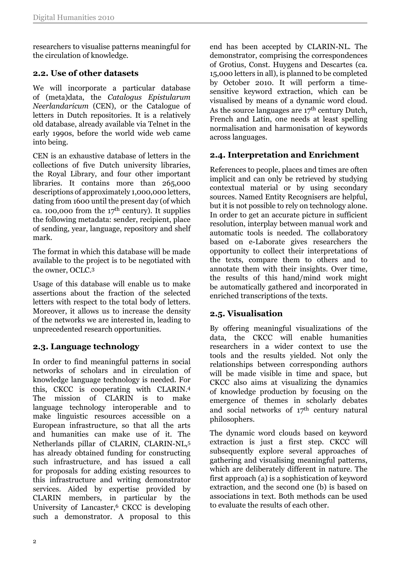researchers to visualise patterns meaningful for the circulation of knowledge.

### **2.2. Use of other datasets**

We will incorporate a particular database of (meta)data, the *Catalogus Epistularum Neerlandaricum* (CEN), or the Catalogue of letters in Dutch repositories. It is a relatively old database, already available via Telnet in the early 1990s, before the world wide web came into being.

CEN is an exhaustive database of letters in the collections of five Dutch university libraries, the Royal Library, and four other important libraries. It contains more than 265,000 descriptions of approximately 1,000,000 letters, dating from 1600 until the present day (of which ca. 100,000 from the  $17<sup>th</sup>$  century). It supplies the following metadata: sender, recipient, place of sending, year, language, repository and shelf mark.

The format in which this database will be made available to the project is to be negotiated with the owner, OCLC.<sup>3</sup>

Usage of this database will enable us to make assertions about the fraction of the selected letters with respect to the total body of letters. Moreover, it allows us to increase the density of the networks we are interested in, leading to unprecedented research opportunities.

# **2.3. Language technology**

In order to find meaningful patterns in social networks of scholars and in circulation of knowledge language technology is needed. For this, CKCC is cooperating with CLARIN.<sup>4</sup> The mission of CLARIN is to make language technology interoperable and to make linguistic resources accessible on a European infrastructure, so that all the arts and humanities can make use of it. The Netherlands pillar of CLARIN, CLARIN-NL,<sup>5</sup> has already obtained funding for constructing such infrastructure, and has issued a call for proposals for adding existing resources to this infrastructure and writing demonstrator services. Aided by expertise provided by CLARIN members, in particular by the University of Lancaster,6 CKCC is developing such a demonstrator. A proposal to this

end has been accepted by CLARIN-NL. The demonstrator, comprising the correspondences of Grotius, Const. Huygens and Descartes (ca. 15,000 letters in all), is planned to be completed by October 2010. It will perform a timesensitive keyword extraction, which can be visualised by means of a dynamic word cloud. As the source languages are  $17<sup>th</sup>$  century Dutch, French and Latin, one needs at least spelling normalisation and harmonisation of keywords across languages.

#### **2.4. Interpretation and Enrichment**

References to people, places and times are often implicit and can only be retrieved by studying contextual material or by using secondary sources. Named Entity Recognisers are helpful, but it is not possible to rely on technology alone. In order to get an accurate picture in sufficient resolution, interplay between manual work and automatic tools is needed. The collaboratory based on e-Laborate gives researchers the opportunity to collect their interpretations of the texts, compare them to others and to annotate them with their insights. Over time, the results of this hand/mind work might be automatically gathered and incorporated in enriched transcriptions of the texts.

#### **2.5. Visualisation**

By offering meaningful visualizations of the data, the CKCC will enable humanities researchers in a wider context to use the tools and the results yielded. Not only the relationships between corresponding authors will be made visible in time and space, but CKCC also aims at visualizing the dynamics of knowledge production by focusing on the emergence of themes in scholarly debates and social networks of 17<sup>th</sup> century natural philosophers.

The dynamic word clouds based on keyword extraction is just a first step. CKCC will subsequently explore several approaches of gathering and visualising meaningful patterns, which are deliberately different in nature. The first approach (a) is a sophistication of keyword extraction, and the second one (b) is based on associations in text. Both methods can be used to evaluate the results of each other.